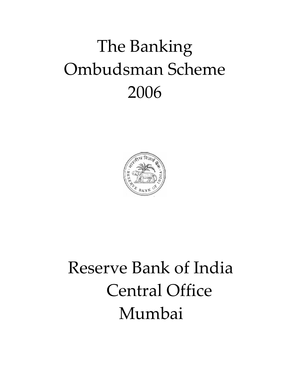# The Banking Ombudsman Scheme 2006



# Reserve Bank of India Central Office Mumbai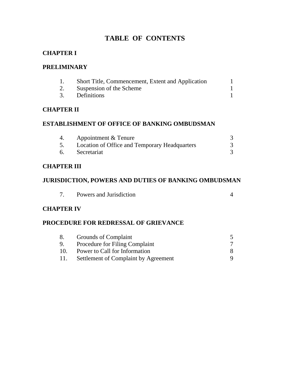# **TABLE OF CONTENTS**

## **CHAPTER I**

#### **PRELIMINARY**

| Short Title, Commencement, Extent and Application |  |
|---------------------------------------------------|--|
| Suspension of the Scheme                          |  |
| Definitions                                       |  |

#### **CHAPTER II**

#### **ESTABLISHMENT OF OFFICE OF BANKING OMBUDSMAN**

| Appointment & Tenure                          |  |
|-----------------------------------------------|--|
| Location of Office and Temporary Headquarters |  |
| Secretariat                                   |  |

#### **CHAPTER III**

### **JURISDICTION, POWERS AND DUTIES OF BANKING OMBUDSMAN**

|  | Powers and Jurisdiction |  |  |
|--|-------------------------|--|--|
|--|-------------------------|--|--|

#### **CHAPTER IV**

#### **PROCEDURE FOR REDRESSAL OF GRIEVANCE**

|     | Grounds of Complaint                  |  |
|-----|---------------------------------------|--|
|     | <b>Procedure for Filing Complaint</b> |  |
| 10. | Power to Call for Information         |  |
|     | Settlement of Complaint by Agreement  |  |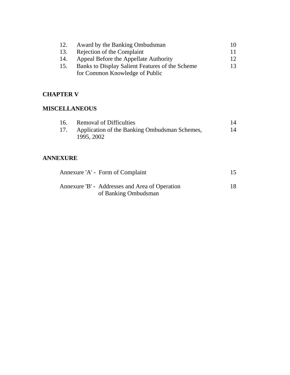| 12. | Award by the Banking Ombudsman                  | 10 |
|-----|-------------------------------------------------|----|
| 13. | Rejection of the Complaint                      | 11 |
| 14. | Appeal Before the Appellate Authority           | 12 |
| 15. | Banks to Display Salient Features of the Scheme | 13 |
|     | for Common Knowledge of Public                  |    |

#### **CHAPTER V**

#### **MISCELLANEOUS**

| <b>Removal of Difficulties</b>                    |    |
|---------------------------------------------------|----|
| 17. Application of the Banking Ombudsman Schemes, | 14 |
| 1995, 2002                                        |    |

## **ANNEXURE**

| Annexure 'A' - Form of Complaint                                       |  |
|------------------------------------------------------------------------|--|
| Annexure 'B' - Addresses and Area of Operation<br>of Banking Ombudsman |  |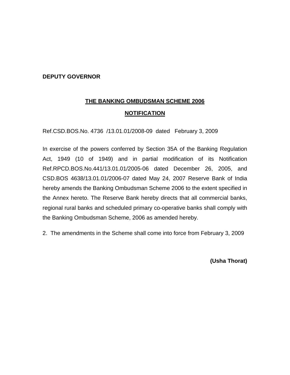#### **DEPUTY GOVERNOR**

# **THE BANKING OMBUDSMAN SCHEME 2006 NOTIFICATION**

Ref.CSD.BOS.No. 4736 /13.01.01/2008-09 dated February 3, 2009

In exercise of the powers conferred by Section 35A of the Banking Regulation Act, 1949 (10 of 1949) and in partial modification of its Notification Ref.RPCD.BOS.No.441/13.01.01/2005-06 dated December 26, 2005, and CSD.BOS 4638/13.01.01/2006-07 dated May 24, 2007 Reserve Bank of India hereby amends the Banking Ombudsman Scheme 2006 to the extent specified in the Annex hereto. The Reserve Bank hereby directs that all commercial banks, regional rural banks and scheduled primary co-operative banks shall comply with the Banking Ombudsman Scheme, 2006 as amended hereby.

2. The amendments in the Scheme shall come into force from February 3, 2009

**(Usha Thorat)**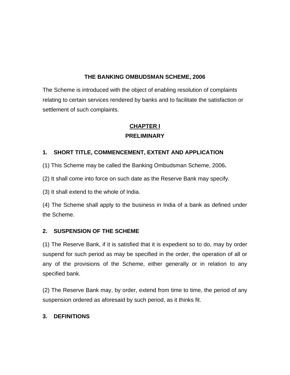#### **THE BANKING OMBUDSMAN SCHEME, 2006**

The Scheme is introduced with the object of enabling resolution of complaints relating to certain services rendered by banks and to facilitate the satisfaction or settlement of such complaints.

# **CHAPTER I PRELIMINARY**

#### **1. SHORT TITLE, COMMENCEMENT, EXTENT AND APPLICATION**

(1) This Scheme may be called the Banking Ombudsman Scheme, 2006**.** 

(2) It shall come into force on such date as the Reserve Bank may specify.

(3) It shall extend to the whole of India.

(4) The Scheme shall apply to the business in India of a bank as defined under the Scheme.

#### **2. SUSPENSION OF THE SCHEME**

(1) The Reserve Bank, if it is satisfied that it is expedient so to do, may by order suspend for such period as may be specified in the order, the operation of all or any of the provisions of the Scheme, either generally or in relation to any specified bank.

(2) The Reserve Bank may, by order, extend from time to time, the period of any suspension ordered as aforesaid by such period, as it thinks fit.

#### **3. DEFINITIONS**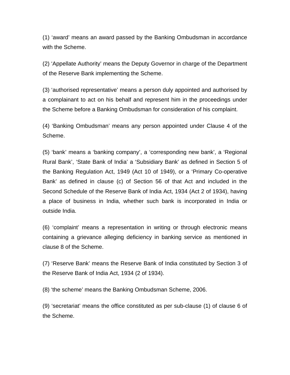(1) 'award' means an award passed by the Banking Ombudsman in accordance with the Scheme.

(2) 'Appellate Authority' means the Deputy Governor in charge of the Department of the Reserve Bank implementing the Scheme.

(3) 'authorised representative' means a person duly appointed and authorised by a complainant to act on his behalf and represent him in the proceedings under the Scheme before a Banking Ombudsman for consideration of his complaint.

(4) 'Banking Ombudsman' means any person appointed under Clause 4 of the Scheme.

(5) 'bank' means a 'banking company', a 'corresponding new bank', a 'Regional Rural Bank', 'State Bank of India' a 'Subsidiary Bank' as defined in Section 5 of the Banking Regulation Act, 1949 (Act 10 of 1949), or a 'Primary Co-operative Bank' as defined in clause (c) of Section 56 of that Act and included in the Second Schedule of the Reserve Bank of India Act, 1934 (Act 2 of 1934), having a place of business in India, whether such bank is incorporated in India or outside India.

(6) 'complaint' means a representation in writing or through electronic means containing a grievance alleging deficiency in banking service as mentioned in clause 8 of the Scheme.

(7) 'Reserve Bank' means the Reserve Bank of India constituted by Section 3 of the Reserve Bank of India Act, 1934 (2 of 1934).

(8) 'the scheme' means the Banking Ombudsman Scheme, 2006.

(9) 'secretariat' means the office constituted as per sub-clause (1) of clause 6 of the Scheme.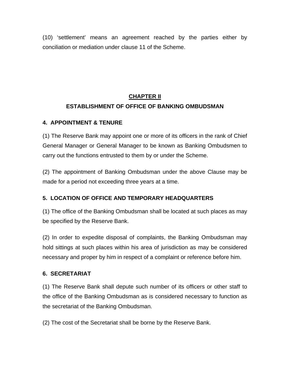(10) 'settlement' means an agreement reached by the parties either by conciliation or mediation under clause 11 of the Scheme.

# **CHAPTER II ESTABLISHMENT OF OFFICE OF BANKING OMBUDSMAN**

#### **4. APPOINTMENT & TENURE**

(1) The Reserve Bank may appoint one or more of its officers in the rank of Chief General Manager or General Manager to be known as Banking Ombudsmen to carry out the functions entrusted to them by or under the Scheme.

(2) The appointment of Banking Ombudsman under the above Clause may be made for a period not exceeding three years at a time.

#### **5. LOCATION OF OFFICE AND TEMPORARY HEADQUARTERS**

(1) The office of the Banking Ombudsman shall be located at such places as may be specified by the Reserve Bank.

(2) In order to expedite disposal of complaints, the Banking Ombudsman may hold sittings at such places within his area of jurisdiction as may be considered necessary and proper by him in respect of a complaint or reference before him.

#### **6. SECRETARIAT**

(1) The Reserve Bank shall depute such number of its officers or other staff to the office of the Banking Ombudsman as is considered necessary to function as the secretariat of the Banking Ombudsman.

(2) The cost of the Secretariat shall be borne by the Reserve Bank.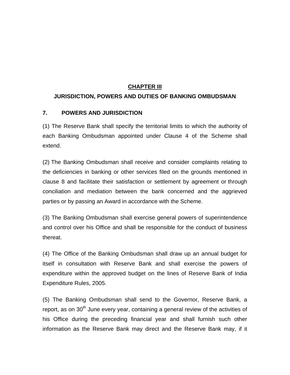#### **CHAPTER III**

#### **JURISDICTION, POWERS AND DUTIES OF BANKING OMBUDSMAN**

#### **7. POWERS AND JURISDICTION**

(1) The Reserve Bank shall specify the territorial limits to which the authority of each Banking Ombudsman appointed under Clause 4 of the Scheme shall extend.

(2) The Banking Ombudsman shall receive and consider complaints relating to the deficiencies in banking or other services filed on the grounds mentioned in clause 8 and facilitate their satisfaction or settlement by agreement or through conciliation and mediation between the bank concerned and the aggrieved parties or by passing an Award in accordance with the Scheme.

(3) The Banking Ombudsman shall exercise general powers of superintendence and control over his Office and shall be responsible for the conduct of business thereat.

(4) The Office of the Banking Ombudsman shall draw up an annual budget for itself in consultation with Reserve Bank and shall exercise the powers of expenditure within the approved budget on the lines of Reserve Bank of India Expenditure Rules, 2005.

(5) The Banking Ombudsman shall send to the Governor, Reserve Bank, a report, as on 30<sup>th</sup> June every year, containing a general review of the activities of his Office during the preceding financial year and shall furnish such other information as the Reserve Bank may direct and the Reserve Bank may, if it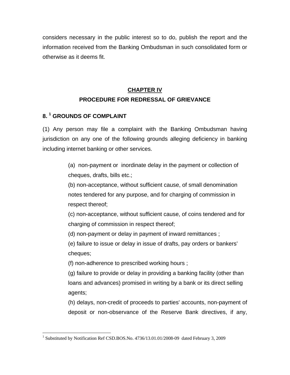considers necessary in the public interest so to do, publish the report and the information received from the Banking Ombudsman in such consolidated form or otherwise as it deems fit.

# **CHAPTER IV PROCEDURE FOR REDRESSAL OF GRIEVANCE**

## **8. 1 GROUNDS OF COMPLAINT**

 $\overline{a}$ 

(1) Any person may file a complaint with the Banking Ombudsman having jurisdiction on any one of the following grounds alleging deficiency in banking including internet banking or other services.

> (a) non-payment or inordinate delay in the payment or collection of cheques, drafts, bills etc.;

> (b) non-acceptance, without sufficient cause, of small denomination notes tendered for any purpose, and for charging of commission in respect thereof;

(c) non-acceptance, without sufficient cause, of coins tendered and for charging of commission in respect thereof;

(d) non-payment or delay in payment of inward remittances ;

(e) failure to issue or delay in issue of drafts, pay orders or bankers' cheques;

(f) non-adherence to prescribed working hours ;

(g) failure to provide or delay in providing a banking facility (other than loans and advances) promised in writing by a bank or its direct selling agents;

(h) delays, non-credit of proceeds to parties' accounts, non-payment of deposit or non-observance of the Reserve Bank directives, if any,

<sup>&</sup>lt;sup>1</sup> Substituted by Notification Ref CSD.BOS.No. 4736/13.01.01/2008-09 dated February 3, 2009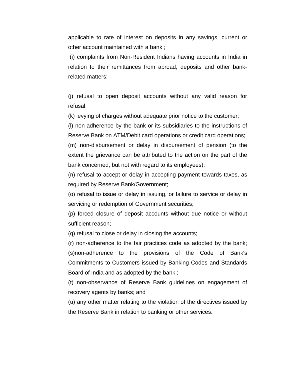applicable to rate of interest on deposits in any savings, current or other account maintained with a bank ;

 (i) complaints from Non-Resident Indians having accounts in India in relation to their remittances from abroad, deposits and other bankrelated matters;

(j) refusal to open deposit accounts without any valid reason for refusal;

(k) levying of charges without adequate prior notice to the customer;

(l) non-adherence by the bank or its subsidiaries to the instructions of Reserve Bank on ATM/Debit card operations or credit card operations;

(m) non-disbursement or delay in disbursement of pension (to the extent the grievance can be attributed to the action on the part of the bank concerned, but not with regard to its employees);

(n) refusal to accept or delay in accepting payment towards taxes, as required by Reserve Bank/Government;

(o) refusal to issue or delay in issuing, or failure to service or delay in servicing or redemption of Government securities;

(p) forced closure of deposit accounts without due notice or without sufficient reason;

(q) refusal to close or delay in closing the accounts;

(r) non-adherence to the fair practices code as adopted by the bank; (s)non-adherence to the provisions of the Code of Bank's Commitments to Customers issued by Banking Codes and Standards Board of India and as adopted by the bank ;

(t) non-observance of Reserve Bank guidelines on engagement of recovery agents by banks; and

(u) any other matter relating to the violation of the directives issued by the Reserve Bank in relation to banking or other services.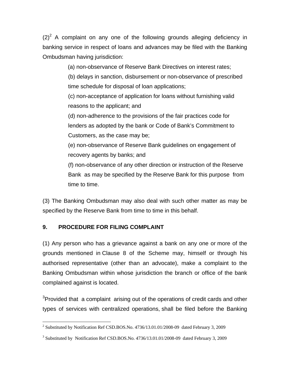$(2)^2$  A complaint on any one of the following grounds alleging deficiency in banking service in respect of loans and advances may be filed with the Banking Ombudsman having jurisdiction:

(a) non-observance of Reserve Bank Directives on interest rates;

(b) delays in sanction, disbursement or non-observance of prescribed time schedule for disposal of loan applications;

(c) non-acceptance of application for loans without furnishing valid reasons to the applicant; and

(d) non-adherence to the provisions of the fair practices code for lenders as adopted by the bank or Code of Bank's Commitment to Customers, as the case may be;

(e) non-observance of Reserve Bank guidelines on engagement of recovery agents by banks; and

(f) non-observance of any other direction or instruction of the Reserve Bank as may be specified by the Reserve Bank for this purpose from time to time.

(3) The Banking Ombudsman may also deal with such other matter as may be specified by the Reserve Bank from time to time in this behalf.

#### **9. PROCEDURE FOR FILING COMPLAINT**

(1) Any person who has a grievance against a bank on any one or more of the grounds mentioned in Clause 8 of the Scheme may, himself or through his authorised representative (other than an advocate), make a complaint to the Banking Ombudsman within whose jurisdiction the branch or office of the bank complained against is located.

 $3$ Provided that a complaint arising out of the operations of credit cards and other types of services with centralized operations, shall be filed before the Banking

 2 Substituted by Notification Ref CSD.BOS.No. 4736/13.01.01/2008-09 dated February 3, 2009

<sup>&</sup>lt;sup>3</sup> Substituted by Notification Ref CSD.BOS.No. 4736/13.01.01/2008-09 dated February 3, 2009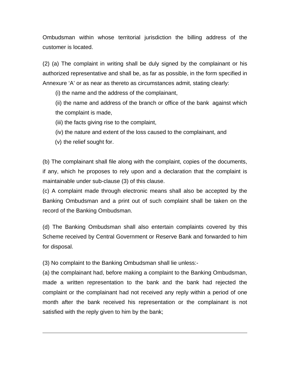Ombudsman within whose territorial jurisdiction the billing address of the customer is located.

(2) (a) The complaint in writing shall be duly signed by the complainant or his authorized representative and shall be, as far as possible, in the form specified in Annexure 'A' or as near as thereto as circumstances admit, stating clearly:

(i) the name and the address of the complainant,

(ii) the name and address of the branch or office of the bank against which the complaint is made,

(iii) the facts giving rise to the complaint,

(iv) the nature and extent of the loss caused to the complainant, and

(v) the relief sought for.

 $\overline{a}$ 

(b) The complainant shall file along with the complaint, copies of the documents, if any, which he proposes to rely upon and a declaration that the complaint is maintainable under sub-clause (3) of this clause.

(c) A complaint made through electronic means shall also be accepted by the Banking Ombudsman and a print out of such complaint shall be taken on the record of the Banking Ombudsman.

(d) The Banking Ombudsman shall also entertain complaints covered by this Scheme received by Central Government or Reserve Bank and forwarded to him for disposal.

(3) No complaint to the Banking Ombudsman shall lie unless:-

(a) the complainant had, before making a complaint to the Banking Ombudsman, made a written representation to the bank and the bank had rejected the complaint or the complainant had not received any reply within a period of one month after the bank received his representation or the complainant is not satisfied with the reply given to him by the bank;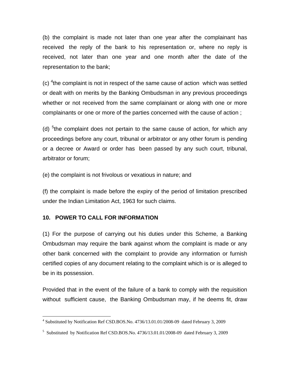(b) the complaint is made not later than one year after the complainant has received the reply of the bank to his representation or, where no reply is received, not later than one year and one month after the date of the representation to the bank;

(c)  $4$ the complaint is not in respect of the same cause of action which was settled or dealt with on merits by the Banking Ombudsman in any previous proceedings whether or not received from the same complainant or along with one or more complainants or one or more of the parties concerned with the cause of action ;

(d)  $5$ the complaint does not pertain to the same cause of action, for which any proceedings before any court, tribunal or arbitrator or any other forum is pending or a decree or Award or order has been passed by any such court, tribunal, arbitrator or forum;

(e) the complaint is not frivolous or vexatious in nature; and

(f) the complaint is made before the expiry of the period of limitation prescribed under the Indian Limitation Act, 1963 for such claims.

#### **10. POWER TO CALL FOR INFORMATION**

(1) For the purpose of carrying out his duties under this Scheme, a Banking Ombudsman may require the bank against whom the complaint is made or any other bank concerned with the complaint to provide any information or furnish certified copies of any document relating to the complaint which is or is alleged to be in its possession.

Provided that in the event of the failure of a bank to comply with the requisition without sufficient cause, the Banking Ombudsman may, if he deems fit, draw

 4 Substituted by Notification Ref CSD.BOS.No. 4736/13.01.01/2008-09 dated February 3, 2009

<sup>&</sup>lt;sup>5</sup> Substituted by Notification Ref CSD.BOS.No. 4736/13.01.01/2008-09 dated February 3, 2009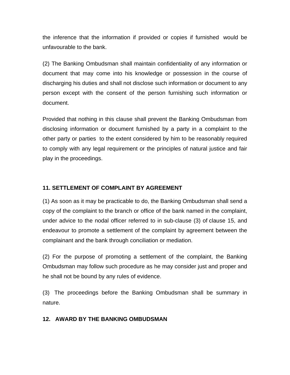the inference that the information if provided or copies if furnished would be unfavourable to the bank.

(2) The Banking Ombudsman shall maintain confidentiality of any information or document that may come into his knowledge or possession in the course of discharging his duties and shall not disclose such information or document to any person except with the consent of the person furnishing such information or document.

Provided that nothing in this clause shall prevent the Banking Ombudsman from disclosing information or document furnished by a party in a complaint to the other party or parties to the extent considered by him to be reasonably required to comply with any legal requirement or the principles of natural justice and fair play in the proceedings.

#### **11. SETTLEMENT OF COMPLAINT BY AGREEMENT**

(1) As soon as it may be practicable to do, the Banking Ombudsman shall send a copy of the complaint to the branch or office of the bank named in the complaint, under advice to the nodal officer referred to in sub-clause (3) of clause 15, and endeavour to promote a settlement of the complaint by agreement between the complainant and the bank through conciliation or mediation.

(2) For the purpose of promoting a settlement of the complaint, the Banking Ombudsman may follow such procedure as he may consider just and proper and he shall not be bound by any rules of evidence.

(3) The proceedings before the Banking Ombudsman shall be summary in nature.

#### **12. AWARD BY THE BANKING OMBUDSMAN**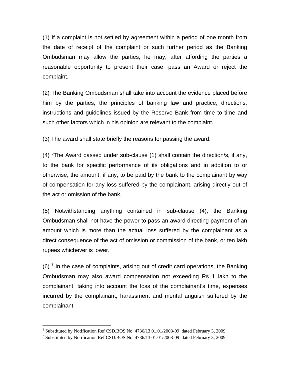(1) If a complaint is not settled by agreement within a period of one month from the date of receipt of the complaint or such further period as the Banking Ombudsman may allow the parties, he may, after affording the parties a reasonable opportunity to present their case, pass an Award or reject the complaint.

(2) The Banking Ombudsman shall take into account the evidence placed before him by the parties, the principles of banking law and practice, directions, instructions and guidelines issued by the Reserve Bank from time to time and such other factors which in his opinion are relevant to the complaint.

(3) The award shall state briefly the reasons for passing the award.

(4)  $\text{F}$ The Award passed under sub-clause (1) shall contain the direction/s, if any, to the bank for specific performance of its obligations and in addition to or otherwise, the amount, if any, to be paid by the bank to the complainant by way of compensation for any loss suffered by the complainant, arising directly out of the act or omission of the bank.

(5) Notwithstanding anything contained in sub-clause (4), the Banking Ombudsman shall not have the power to pass an award directing payment of an amount which is more than the actual loss suffered by the complainant as a direct consequence of the act of omission or commission of the bank, or ten lakh rupees whichever is lower.

 $(6)$ <sup>7</sup> In the case of complaints, arising out of credit card operations, the Banking Ombudsman may also award compensation not exceeding Rs 1 lakh to the complainant, taking into account the loss of the complainant's time, expenses incurred by the complainant, harassment and mental anguish suffered by the complainant.

1

<sup>&</sup>lt;sup>6</sup> Substituted by Notification Ref CSD.BOS.No. 4736/13.01.01/2008-09 dated February 3, 2009<br><sup>7</sup> Substituted by Notification Ref CSD BOS No. 4736/13.01.01/2008.00. dated February 3, 2000

<sup>&</sup>lt;sup>7</sup> Substituted by Notification Ref CSD.BOS.No. 4736/13.01.01/2008-09 dated February 3, 2009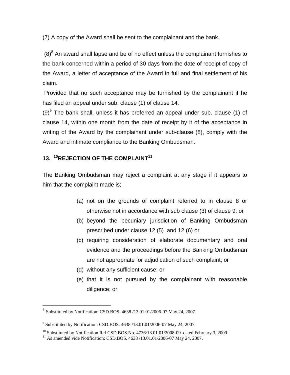(7) A copy of the Award shall be sent to the complainant and the bank.

 $(8)^8$  An award shall lapse and be of no effect unless the complainant furnishes to the bank concerned within a period of 30 days from the date of receipt of copy of the Award, a letter of acceptance of the Award in full and final settlement of his claim.

 Provided that no such acceptance may be furnished by the complainant if he has filed an appeal under sub. clause (1) of clause 14.

 $(9)^9$  The bank shall, unless it has preferred an appeal under sub. clause (1) of clause 14, within one month from the date of receipt by it of the acceptance in writing of the Award by the complainant under sub-clause (8), comply with the Award and intimate compliance to the Banking Ombudsman.

## **13. <sup>10</sup>REJECTION OF THE COMPLAINT<sup>11</sup>**

The Banking Ombudsman may reject a complaint at any stage if it appears to him that the complaint made is;

- (a) not on the grounds of complaint referred to in clause 8 or otherwise not in accordance with sub clause (3) of clause 9; or
- (b) beyond the pecuniary jurisdiction of Banking Ombudsman prescribed under clause 12 (5) and 12 (6) or
- (c) requiring consideration of elaborate documentary and oral evidence and the proceedings before the Banking Ombudsman are not appropriate for adjudication of such complaint; or
- (d) without any sufficient cause; or
- (e) that it is not pursued by the complainant with reasonable diligence; or

1

 $8$  Substituted by Notification: CSD.BOS. 4638 /13.01.01/2006-07 May 24, 2007.

<sup>&</sup>lt;sup>9</sup> Substituted by Notification: CSD.BOS. 4638 /13.01.01/2006-07 May 24, 2007.

<sup>&</sup>lt;sup>10</sup> Substituted by Notification Ref CSD.BOS.No. 4736/13.01.01/2008-09 dated February 3, 2009<sup>11</sup> As amended vide Notification: CSD.BOS. 4638 /13.01.01/2006-07 May 24, 2007.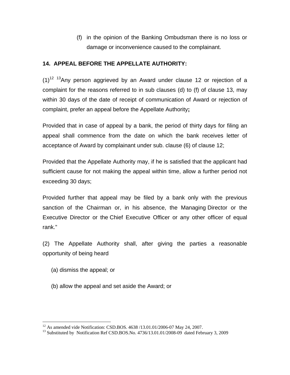(f) in the opinion of the Banking Ombudsman there is no loss or damage or inconvenience caused to the complainant.

#### **14. APPEAL BEFORE THE APPELLATE AUTHORITY:**

 $(1)^{12}$  <sup>13</sup>Any person aggrieved by an Award under clause 12 or rejection of a complaint for the reasons referred to in sub clauses (d) to (f) of clause 13, may within 30 days of the date of receipt of communication of Award or rejection of complaint, prefer an appeal before the Appellate Authority**;** 

Provided that in case of appeal by a bank, the period of thirty days for filing an appeal shall commence from the date on which the bank receives letter of acceptance of Award by complainant under sub. clause (6) of clause 12;

Provided that the Appellate Authority may, if he is satisfied that the applicant had sufficient cause for not making the appeal within time, allow a further period not exceeding 30 days;

Provided further that appeal may be filed by a bank only with the previous sanction of the Chairman or, in his absence, the Managing Director or the Executive Director or the Chief Executive Officer or any other officer of equal rank."

(2) The Appellate Authority shall, after giving the parties a reasonable opportunity of being heard

(a) dismiss the appeal; or

 $\overline{a}$ 

(b) allow the appeal and set aside the Award; or

<sup>&</sup>lt;sup>12</sup> As amended vide Notification: CSD.BOS. 4638 /13.01.01/2006-07 May 24, 2007.<br><sup>13</sup> Substituted by Notification Ref CSD.BOS.No. 4736/13.01.01/2008-09 dated February 3, 2009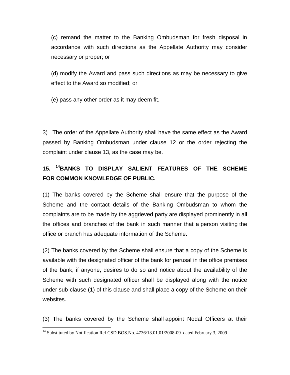(c) remand the matter to the Banking Ombudsman for fresh disposal in accordance with such directions as the Appellate Authority may consider necessary or proper; or

(d) modify the Award and pass such directions as may be necessary to give effect to the Award so modified; or

(e) pass any other order as it may deem fit.

3) The order of the Appellate Authority shall have the same effect as the Award passed by Banking Ombudsman under clause 12 or the order rejecting the complaint under clause 13, as the case may be.

# **15. 14BANKS TO DISPLAY SALIENT FEATURES OF THE SCHEME FOR COMMON KNOWLEDGE OF PUBLIC.**

(1) The banks covered by the Scheme shall ensure that the purpose of the Scheme and the contact details of the Banking Ombudsman to whom the complaints are to be made by the aggrieved party are displayed prominently in all the offices and branches of the bank in such manner that a person visiting the office or branch has adequate information of the Scheme.

(2) The banks covered by the Scheme shall ensure that a copy of the Scheme is available with the designated officer of the bank for perusal in the office premises of the bank, if anyone, desires to do so and notice about the availability of the Scheme with such designated officer shall be displayed along with the notice under sub-clause (1) of this clause and shall place a copy of the Scheme on their websites.

(3) The banks covered by the Scheme shall appoint Nodal Officers at their

1

<sup>&</sup>lt;sup>14</sup> Substituted by Notification Ref CSD.BOS.No. 4736/13.01.01/2008-09 dated February 3, 2009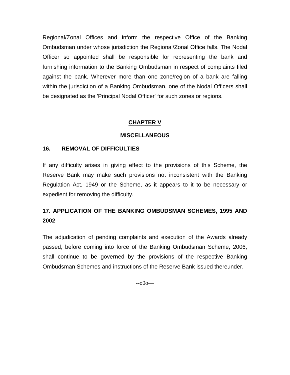Regional/Zonal Offices and inform the respective Office of the Banking Ombudsman under whose jurisdiction the Regional/Zonal Office falls. The Nodal Officer so appointed shall be responsible for representing the bank and furnishing information to the Banking Ombudsman in respect of complaints filed against the bank. Wherever more than one zone/region of a bank are falling within the jurisdiction of a Banking Ombudsman, one of the Nodal Officers shall be designated as the 'Principal Nodal Officer' for such zones or regions.

#### **CHAPTER V**

#### **MISCELLANEOUS**

#### **16. REMOVAL OF DIFFICULTIES**

If any difficulty arises in giving effect to the provisions of this Scheme, the Reserve Bank may make such provisions not inconsistent with the Banking Regulation Act, 1949 or the Scheme, as it appears to it to be necessary or expedient for removing the difficulty.

## **17. APPLICATION OF THE BANKING OMBUDSMAN SCHEMES, 1995 AND 2002**

The adjudication of pending complaints and execution of the Awards already passed, before coming into force of the Banking Ombudsman Scheme, 2006, shall continue to be governed by the provisions of the respective Banking Ombudsman Schemes and instructions of the Reserve Bank issued thereunder.

 $-000$ —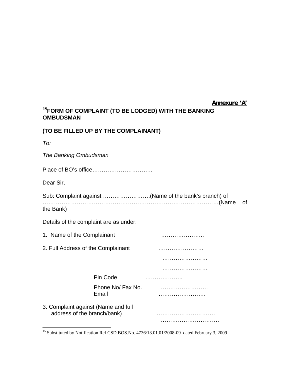#### **Annexure 'A'**

#### **<sup>15</sup>FORM OF COMPLAINT (TO BE LODGED) WITH THE BANKING OMBUDSMAN**

#### **(TO BE FILLED UP BY THE COMPLAINANT)**

| ۰,<br>×<br>۰. |
|---------------|

1

*The Banking Ombudsman*  Place of BO's office………………………….. Dear Sir, Sub: Complaint against …………………….(Name of the bank's branch) of …………………………………………………………………………………(Name of the Bank) Details of the complaint are as under: 1. Name of the Complainant manufacturer is a substitute of the Complainant 2. Full Address of the Complainant …………………… …………………… …………………………… Pin Code ………………… Phone No/ Fax No. .…………………… Email ……………………. 3. Complaint against (Name and full address of the branch/bank)………………………….………………………….

<sup>&</sup>lt;sup>15</sup> Substituted by Notification Ref CSD.BOS.No. 4736/13.01.01/2008-09 dated February 3, 2009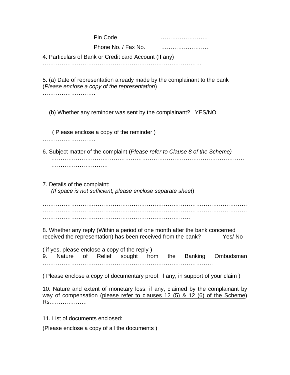|                                 | Pin Code<br>Phone No. / Fax No.<br>4. Particulars of Bank or Credit card Account (If any)                                                                    |        |
|---------------------------------|--------------------------------------------------------------------------------------------------------------------------------------------------------------|--------|
|                                 | 5. (a) Date of representation already made by the complainant to the bank<br>(Please enclose a copy of the representation)                                   |        |
|                                 | (b) Whether any reminder was sent by the complainant? YES/NO                                                                                                 |        |
|                                 | (Please enclose a copy of the reminder)                                                                                                                      |        |
|                                 | 6. Subject matter of the complaint (Please refer to Clause 8 of the Scheme)                                                                                  |        |
| 7. Details of the complaint:    | (If space is not sufficient, please enclose separate sheet)                                                                                                  |        |
|                                 |                                                                                                                                                              |        |
|                                 | 8. Whether any reply (Within a period of one month after the bank concerned<br>received the representation) has been received from the bank?                 | Yes/No |
|                                 | (if yes, please enclose a copy of the reply)<br>9. Nature of Relief sought from the Banking Ombudsman                                                        |        |
|                                 | (Please enclose a copy of documentary proof, if any, in support of your claim)                                                                               |        |
| Rs                              | 10. Nature and extent of monetary loss, if any, claimed by the complainant by<br>way of compensation (please refer to clauses 12 (5) & 12 (6) of the Scheme) |        |
| 11. List of documents enclosed: |                                                                                                                                                              |        |

(Please enclose a copy of all the documents )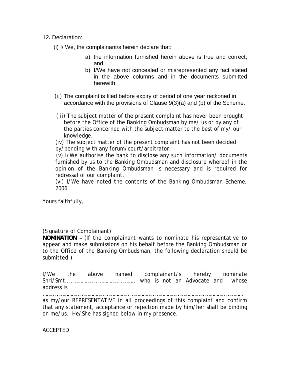12**.** Declaration:

(i) I/ We, the complainant/s herein declare that:

- a) the information furnished herein above is true and correct; and
- b) I/We have not concealed or misrepresented any fact stated in the above columns and in the documents submitted herewith.
- (ii) The complaint is filed before expiry of period of one year reckoned in accordance with the provisions of Clause 9(3)(a) and (b) of the Scheme.
- (iii) The subject matter of the present complaint has never been brought before the Office of the Banking Ombudsman by me/ us or by any of the parties concerned with the subject matter to the best of my/ our knowledge.

(iv) The subject matter of the present complaint has not been decided by/pending with any forum/court/arbitrator.

(v) I/We authorise the bank to disclose any such information/ documents furnished by us to the Banking Ombudsman and disclosure whereof in the opinion of the Banking Ombudsman is necessary and is required for redressal of our complaint.

(vi) I/We have noted the contents of the Banking Ombudsman Scheme, 2006.

Yours faithfully,

#### (Signature of Complainant)

**NOMINATION –** (If the complainant wants to nominate his representative to appear and make submissions on his behalf before the Banking Ombudsman or to the Office of the Banking Ombudsman, the following declaration should be submitted.)

I/We the above named complainant/s hereby nominate Shri/Smt………………………………………….. who is not an Advocate and whose address is

………………………………………………………………………………………………………………………………

as my/our REPRESENTATIVE in all proceedings of this complaint and confirm that any statement, acceptance or rejection made by him/her shall be binding on me/us. He/She has signed below in my presence.

ACCEPTED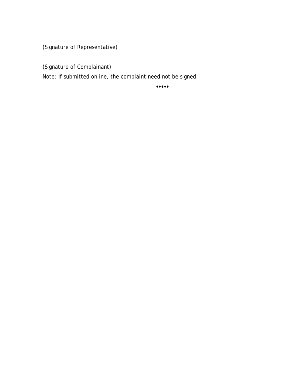(Signature of Representative)

(Signature of Complainant)

Note: If submitted online, the complaint need not be signed.

 $\cdots$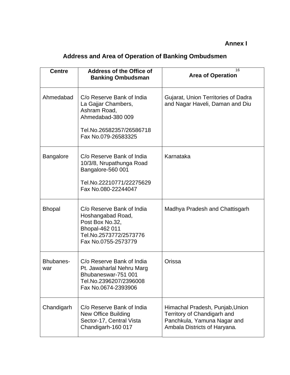## **Annex I**

# **Address and Area of Operation of Banking Ombudsmen**

| <b>Centre</b>           | <b>Address of the Office of</b><br><b>Banking Ombudsman</b>                                                                              | 16<br><b>Area of Operation</b>                                                                                                |
|-------------------------|------------------------------------------------------------------------------------------------------------------------------------------|-------------------------------------------------------------------------------------------------------------------------------|
| Ahmedabad               | C/o Reserve Bank of India<br>La Gajjar Chambers,<br>Ashram Road,<br>Ahmedabad-380 009<br>Tel.No.26582357/26586718<br>Fax No.079-26583325 | Gujarat, Union Territories of Dadra<br>and Nagar Haveli, Daman and Diu                                                        |
| <b>Bangalore</b>        | C/o Reserve Bank of India<br>10/3/8, Nrupathunga Road<br>Bangalore-560 001<br>Tel.No.22210771/22275629<br>Fax No.080-22244047            | Karnataka                                                                                                                     |
| <b>Bhopal</b>           | C/o Reserve Bank of India<br>Hoshangabad Road,<br>Post Box No.32,<br>Bhopal-462 011<br>Tel.No.2573772/2573776<br>Fax No.0755-2573779     | Madhya Pradesh and Chattisgarh                                                                                                |
| <b>Bhubanes-</b><br>war | C/o Reserve Bank of India<br>Pt. Jawaharlal Nehru Marg<br>Bhubaneswar-751 001<br>Tel.No.2396207/2396008<br>Fax No.0674-2393906           | Orissa                                                                                                                        |
| Chandigarh              | C/o Reserve Bank of India<br><b>New Office Building</b><br>Sector-17, Central Vista<br>Chandigarh-160 017                                | Himachal Pradesh, Punjab, Union<br>Territory of Chandigarh and<br>Panchkula, Yamuna Nagar and<br>Ambala Districts of Haryana. |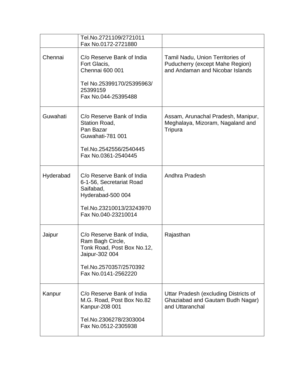|           | Tel.No.2721109/2721011<br>Fax No.0172-2721880                                                                                                   |                                                                                                        |
|-----------|-------------------------------------------------------------------------------------------------------------------------------------------------|--------------------------------------------------------------------------------------------------------|
| Chennai   | C/o Reserve Bank of India<br>Fort Glacis,<br>Chennai 600 001<br>Tel No.25399170/25395963/<br>25399159<br>Fax No.044-25395488                    | Tamil Nadu, Union Territories of<br>Puducherry (except Mahe Region)<br>and Andaman and Nicobar Islands |
| Guwahati  | C/o Reserve Bank of India<br>Station Road,<br>Pan Bazar<br>Guwahati-781 001<br>Tel.No.2542556/2540445<br>Fax No.0361-2540445                    | Assam, Arunachal Pradesh, Manipur,<br>Meghalaya, Mizoram, Nagaland and<br>Tripura                      |
| Hyderabad | C/o Reserve Bank of India<br>6-1-56, Secretariat Road<br>Saifabad,<br>Hyderabad-500 004<br>Tel.No.23210013/23243970<br>Fax No.040-23210014      | Andhra Pradesh                                                                                         |
| Jaipur    | C/o Reserve Bank of India,<br>Ram Bagh Circle,<br>Tonk Road, Post Box No.12,<br>Jaipur-302 004<br>Tel.No.2570357/2570392<br>Fax No.0141-2562220 | Rajasthan                                                                                              |
| Kanpur    | C/o Reserve Bank of India<br>M.G. Road, Post Box No.82<br>Kanpur-208 001<br>Tel.No.2306278/2303004<br>Fax No.0512-2305938                       | Uttar Pradesh (excluding Districts of<br>Ghaziabad and Gautam Budh Nagar)<br>and Uttaranchal           |